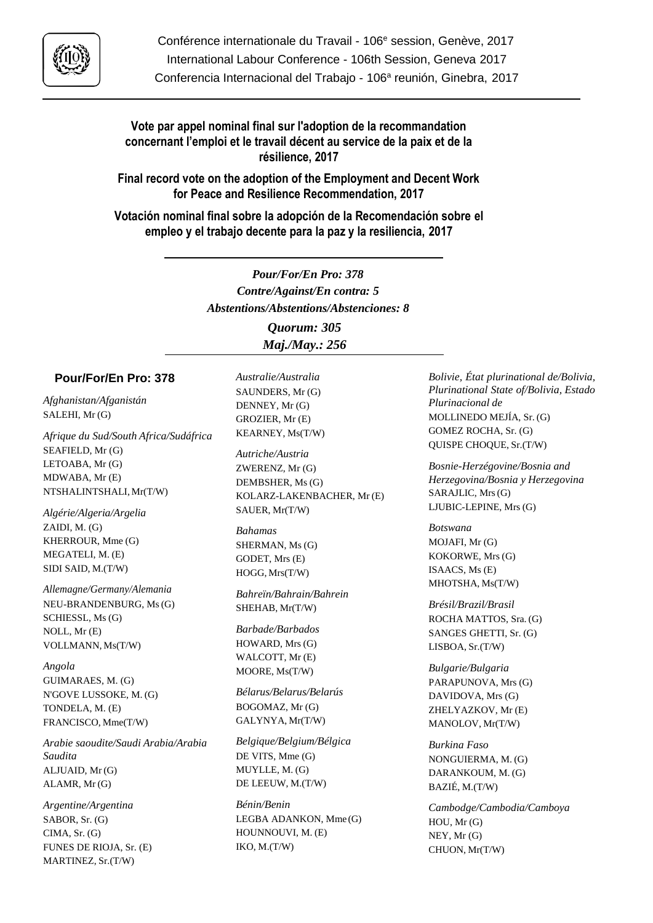

# **Vote par appel nominal final sur l'adoption de la recommandation concernant l'emploi et le travail décent au service de la paix et de la résilience, 2017**

**Final record vote on the adoption of the Employment and Decent Work for Peace and Resilience Recommendation, 2017**

**Votación nominal final sobre la adopción de la Recomendación sobre el empleo y el trabajo decente para la paz y la resiliencia, 2017**

> *Pour/For/En Pro: 378 Contre/Against/En contra: 5 Abstentions/Abstentions/Abstenciones: 8 Quorum: 305 Maj./May.: 256*

## **Pour/For/En Pro: 378**

*Afghanistan/Afganistán* SALEHI, Mr (G)

*Afrique du Sud/South Africa/Sudáfrica* SEAFIELD, Mr (G) LETOABA, Mr (G) MDWABA, Mr (E) NTSHALINTSHALI, Mr(T/W)

*Algérie/Algeria/Argelia* ZAIDI, M. (G) KHERROUR, Mme (G) MEGATELI, M. (E) SIDI SAID, M.(T/W)

*Allemagne/Germany/Alemania* NEU-BRANDENBURG, Ms(G) SCHIESSL, Ms (G) NOLL, Mr (E) VOLLMANN, Ms(T/W)

*Angola* GUIMARAES, M. (G) N'GOVE LUSSOKE, M. (G) TONDELA, M. (E) FRANCISCO, Mme(T/W)

*Arabie saoudite/Saudi Arabia/Arabia Saudita* ALJUAID, Mr (G) ALAMR, Mr (G)

*Argentine/Argentina* SABOR, Sr. (G) CIMA, Sr. (G) FUNES DE RIOJA, Sr. (E) MARTINEZ, Sr.(T/W)

*Australie/Australia* SAUNDERS, Mr (G) DENNEY, Mr (G) GROZIER, Mr (E) KEARNEY, Ms(T/W)

*Autriche/Austria* ZWERENZ, Mr (G) DEMBSHER, Ms (G) KOLARZ-LAKENBACHER, Mr (E) SAUER, Mr(T/W)

*Bahamas* SHERMAN, Ms (G) GODET, Mrs (E) HOGG, Mrs(T/W)

*Bahreïn/Bahrain/Bahrein* SHEHAB, Mr(T/W)

*Barbade/Barbados* HOWARD, Mrs (G) WALCOTT, Mr (E) MOORE, Ms(T/W)

*Bélarus/Belarus/Belarús* BOGOMAZ, Mr (G) GALYNYA, Mr(T/W)

*Belgique/Belgium/Bélgica* DE VITS, Mme (G) MUYLLE, M. (G) DE LEEUW, M.(T/W)

*Bénin/Benin* LEGBA ADANKON, Mme (G) HOUNNOUVI, M. (E) IKO, M.(T/W)

*Bolivie, État plurinational de/Bolivia, Plurinational State of/Bolivia, Estado Plurinacional de* MOLLINEDO MEJÍA, Sr. (G) GOMEZ ROCHA, Sr. (G) QUISPE CHOQUE, Sr.(T/W)

*Bosnie-Herzégovine/Bosnia and Herzegovina/Bosnia y Herzegovina* SARAJLIC, Mrs(G) LJUBIC-LEPINE, Mrs (G)

*Botswana* MOJAFI, Mr (G) KOKORWE, Mrs (G) ISAACS, Ms (E) MHOTSHA, Ms(T/W)

*Brésil/Brazil/Brasil* ROCHA MATTOS, Sra. (G) SANGES GHETTI, Sr. (G) LISBOA, Sr.(T/W)

*Bulgarie/Bulgaria* PARAPUNOVA, Mrs (G) DAVIDOVA, Mrs (G) ZHELYAZKOV, Mr (E) MANOLOV, Mr(T/W)

*Burkina Faso* NONGUIERMA, M. (G) DARANKOUM, M. (G) BAZIÉ, M.(T/W)

*Cambodge/Cambodia/Camboya* HOU, Mr (G) NEY, Mr (G) CHUON, Mr(T/W)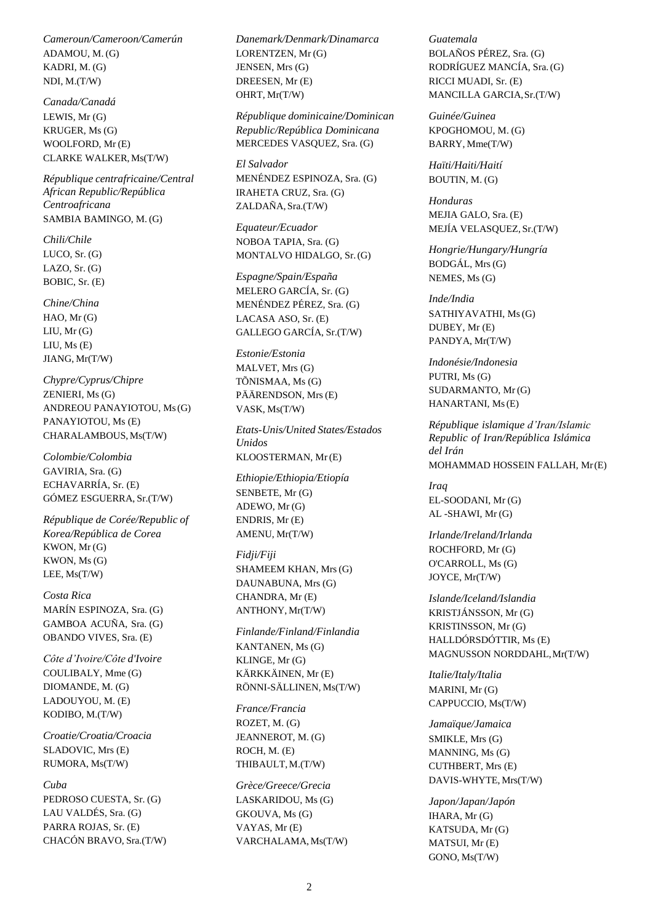*Cameroun/Cameroon/Camerún* ADAMOU, M. (G) KADRI, M. (G) NDI, M.(T/W)

*Canada/Canadá* LEWIS, Mr (G) KRUGER, Ms (G) WOOLFORD, Mr (E) CLARKE WALKER, Ms(T/W)

*République centrafricaine/Central African Republic/República Centroafricana* SAMBIA BAMINGO, M. (G)

*Chili/Chile* LUCO, Sr. (G) LAZO, Sr. (G) BOBIC, Sr. (E)

*Chine/China* HAO, Mr (G)  $LIU, Mr (G)$ LIU, Ms (E) JIANG, Mr(T/W)

*Chypre/Cyprus/Chipre* ZENIERI, Ms (G) ANDREOU PANAYIOTOU, Ms(G) PANAYIOTOU, Ms (E) CHARALAMBOUS, Ms(T/W)

*Colombie/Colombia* GAVIRIA, Sra. (G) ECHAVARRÍA, Sr. (E) GÓMEZ ESGUERRA, Sr.(T/W)

*République de Corée/Republic of Korea/República de Corea* KWON, Mr (G) KWON, Ms (G) LEE, Ms(T/W)

*Costa Rica* MARÍN ESPINOZA, Sra. (G) GAMBOA ACUÑA, Sra. (G) OBANDO VIVES, Sra. (E)

*Côte d'Ivoire/Côte d'Ivoire* COULIBALY, Mme (G) DIOMANDE, M. (G) LADOUYOU, M. (E) KODIBO, M.(T/W)

*Croatie/Croatia/Croacia* SLADOVIC, Mrs (E) RUMORA, Ms(T/W)

*Cuba* PEDROSO CUESTA, Sr. (G) LAU VALDÉS, Sra. (G) PARRA ROJAS, Sr. (E) CHACÓN BRAVO, Sra.(T/W) *Danemark/Denmark/Dinamarca* LORENTZEN, Mr (G) JENSEN, Mrs (G) DREESEN, Mr (E) OHRT, Mr(T/W)

*République dominicaine/Dominican Republic/República Dominicana* MERCEDES VASQUEZ, Sra. (G)

*El Salvador* MENÉNDEZ ESPINOZA, Sra. (G) IRAHETA CRUZ, Sra. (G) ZALDAÑA, Sra.(T/W)

*Equateur/Ecuador* NOBOA TAPIA, Sra. (G) MONTALVO HIDALGO, Sr.(G)

*Espagne/Spain/España* MELERO GARCÍA, Sr. (G) MENÉNDEZ PÉREZ, Sra. (G) LACASA ASO, Sr. (E) GALLEGO GARCÍA, Sr.(T/W)

*Estonie/Estonia* MALVET, Mrs (G) TÕNISMAA, Ms (G) PÄÄRENDSON, Mrs (E)

VASK, Ms(T/W) *Etats-Unis/United States/Estados Unidos*

KLOOSTERMAN, Mr(E)

*Ethiopie/Ethiopia/Etiopía* SENBETE, Mr (G) ADEWO, Mr (G) ENDRIS, Mr (E) AMENU, Mr(T/W)

*Fidji/Fiji* SHAMEEM KHAN, Mrs(G) DAUNABUNA, Mrs (G) CHANDRA, Mr (E) ANTHONY, Mr(T/W)

*Finlande/Finland/Finlandia* KANTANEN, Ms (G) KLINGE, Mr (G) KÄRKKÄINEN, Mr (E) RÖNNI-SÄLLINEN, Ms(T/W)

*France/Francia* ROZET, M. (G) JEANNEROT, M. (G) ROCH, M. (E) THIBAULT, M.(T/W)

*Grèce/Greece/Grecia* LASKARIDOU, Ms (G) GKOUVA, Ms (G) VAYAS, Mr (E) VARCHALAMA, Ms(T/W)

*Guatemala* BOLAÑOS PÉREZ, Sra. (G) RODRÍGUEZ MANCÍA, Sra.(G) RICCI MUADI, Sr. (E) MANCILLA GARCIA,Sr.(T/W)

*Guinée/Guinea* KPOGHOMOU, M. (G) BARRY, Mme(T/W)

*Haïti/Haiti/Haití* BOUTIN, M. (G)

*Honduras* MEJIA GALO, Sra. (E) MEJÍA VELASQUEZ, Sr.(T/W)

*Hongrie/Hungary/Hungría* BODGÁL, Mrs(G) NEMES, Ms (G)

*Inde/India* SATHIYAVATHI, Ms(G) DUBEY, Mr (E) PANDYA, Mr(T/W)

*Indonésie/Indonesia* PUTRI, Ms (G) SUDARMANTO, Mr (G) HANARTANI, Ms(E)

*République islamique d'Iran/Islamic Republic of Iran/República Islámica del Irán* MOHAMMAD HOSSEIN FALLAH, Mr(E)

*Iraq* EL-SOODANI, Mr (G) AL -SHAWI, Mr (G)

*Irlande/Ireland/Irlanda* ROCHFORD, Mr (G) O'CARROLL, Ms (G) JOYCE, Mr(T/W)

*Islande/Iceland/Islandia* KRISTJÁNSSON, Mr (G) KRISTINSSON, Mr (G) HALLDÓRSDÓTTIR, Ms (E) MAGNUSSON NORDDAHL,Mr(T/W)

*Italie/Italy/Italia* MARINI, Mr (G) CAPPUCCIO, Ms(T/W)

*Jamaïque/Jamaica* SMIKLE, Mrs (G) MANNING, Ms (G) CUTHBERT, Mrs (E) DAVIS-WHYTE, Mrs(T/W)

*Japon/Japan/Japón* IHARA, Mr (G) KATSUDA, Mr (G) MATSUI, Mr (E) GONO, Ms(T/W)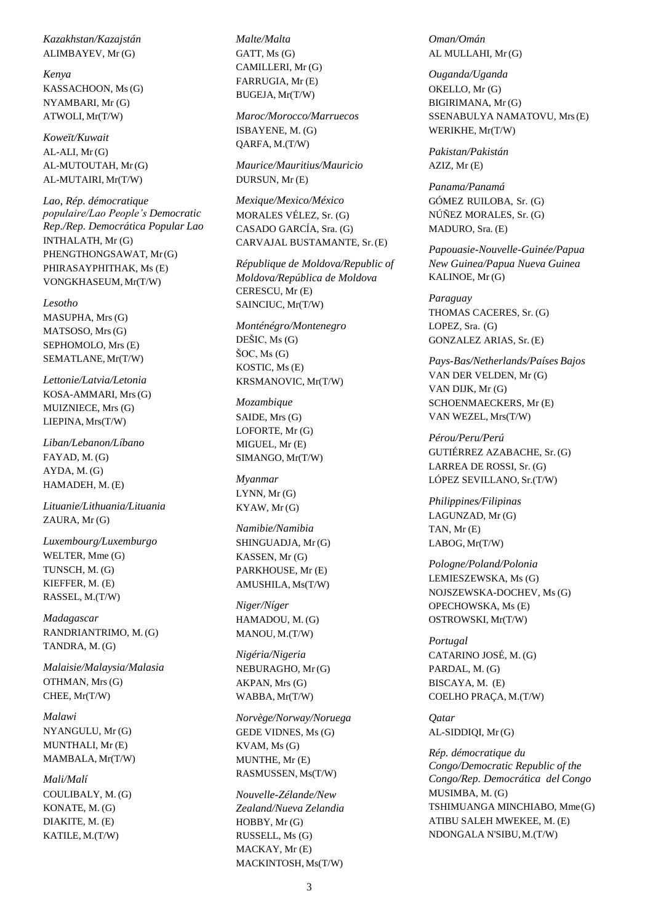#### *Kazakhstan/Kazajstán* ALIMBAYEV, Mr (G)

*Kenya* KASSACHOON, Ms(G) NYAMBARI, Mr (G) ATWOLI, Mr(T/W)

*Koweït/Kuwait* AL-ALI, Mr (G) AL-MUTOUTAH, Mr(G) AL-MUTAIRI, Mr(T/W)

*Lao, Rép. démocratique populaire/Lao People's Democratic Rep./Rep. Democrática Popular Lao* INTHALATH, Mr (G) PHENGTHONGSAWAT, Mr(G) PHIRASAYPHITHAK, Ms (E) VONGKHASEUM, Mr(T/W)

*Lesotho* MASUPHA, Mrs (G) MATSOSO, Mrs(G) SEPHOMOLO, Mrs (E) SEMATLANE, Mr(T/W)

*Lettonie/Latvia/Letonia* KOSA-AMMARI, Mrs(G) MUIZNIECE, Mrs (G) LIEPINA, Mrs(T/W)

*Liban/Lebanon/Líbano* FAYAD, M. (G) AYDA, M. (G) HAMADEH, M. (E)

*Lituanie/Lithuania/Lituania* ZAURA, Mr (G)

*Luxembourg/Luxemburgo* WELTER, Mme (G) TUNSCH, M. (G) KIEFFER, M. (E) RASSEL, M.(T/W)

*Madagascar* RANDRIANTRIMO, M. (G) TANDRA, M. (G)

*Malaisie/Malaysia/Malasia* OTHMAN, Mrs(G) CHEE, Mr(T/W)

*Malawi* NYANGULU, Mr (G) MUNTHALI, Mr (E) MAMBALA, Mr(T/W)

*Mali/Malí* COULIBALY, M. (G) KONATE, M. (G) DIAKITE, M. (E) KATILE, M.(T/W)

*Malte/Malta* GATT, Ms (G) CAMILLERI, Mr (G) FARRUGIA, Mr (E) BUGEJA, Mr(T/W)

*Maroc/Morocco/Marruecos* ISBAYENE, M. (G) QARFA, M.(T/W)

*Maurice/Mauritius/Mauricio* DURSUN, Mr (E)

*Mexique/Mexico/México* MORALES VÉLEZ, Sr. (G) CASADO GARCÍA, Sra. (G) CARVAJAL BUSTAMANTE, Sr.(E)

*République de Moldova/Republic of Moldova/República de Moldova* CERESCU, Mr (E) SAINCIUC, Mr(T/W)

*Monténégro/Montenegro* DEŠIC, Ms (G) ŠOC, Ms (G) KOSTIC, Ms (E) KRSMANOVIC, Mr(T/W)

*Mozambique* SAIDE, Mrs (G) LOFORTE, Mr (G) MIGUEL, Mr (E) SIMANGO, Mr(T/W)

*Myanmar* LYNN, Mr (G) KYAW, Mr (G)

*Namibie/Namibia* SHINGUADJA, Mr (G) KASSEN, Mr (G) PARKHOUSE, Mr (E) AMUSHILA, Ms(T/W)

*Niger/Níger* HAMADOU, M. (G) MANOU, M.(T/W)

*Nigéria/Nigeria* NEBURAGHO, Mr (G) AKPAN, Mrs (G) WABBA, Mr(T/W)

*Norvège/Norway/Noruega* GEDE VIDNES, Ms (G) KVAM, Ms (G) MUNTHE, Mr (E) RASMUSSEN, Ms(T/W)

*Nouvelle-Zélande/New Zealand/Nueva Zelandia* HOBBY, Mr (G) RUSSELL, Ms (G) MACKAY, Mr (E) MACKINTOSH, Ms(T/W)

*Oman/Omán* AL MULLAHI, Mr (G)

*Ouganda/Uganda* OKELLO, Mr (G) BIGIRIMANA, Mr (G) SSENABULYA NAMATOVU, Mrs(E) WERIKHE, Mr(T/W)

*Pakistan/Pakistán* AZIZ, Mr (E)

*Panama/Panamá* GÓMEZ RUILOBA, Sr. (G) NÚÑEZ MORALES, Sr. (G) MADURO, Sra. (E)

*Papouasie-Nouvelle-Guinée/Papua New Guinea/Papua Nueva Guinea* KALINOE, Mr (G)

*Paraguay* THOMAS CACERES, Sr. (G) LOPEZ, Sra. (G) GONZALEZ ARIAS, Sr. (E)

*Pays-Bas/Netherlands/Países Bajos* VAN DER VELDEN, Mr (G) VAN DIJK, Mr (G) SCHOENMAECKERS, Mr (E) VAN WEZEL, Mrs(T/W)

*Pérou/Peru/Perú* GUTIÉRREZ AZABACHE, Sr. (G) LARREA DE ROSSI, Sr. (G) LÓPEZ SEVILLANO, Sr.(T/W)

*Philippines/Filipinas* LAGUNZAD, Mr (G) TAN, Mr (E) LABOG, Mr(T/W)

*Pologne/Poland/Polonia* LEMIESZEWSKA, Ms (G) NOJSZEWSKA-DOCHEV, Ms (G) OPECHOWSKA, Ms (E) OSTROWSKI, Mr(T/W)

*Portugal* CATARINO JOSÉ, M. (G) PARDAL, M. (G) BISCAYA, M. (E) COELHO PRAÇA, M.(T/W)

*Qatar* AL-SIDDIQI, Mr (G)

*Rép. démocratique du Congo/Democratic Republic of the Congo/Rep. Democrática del Congo* MUSIMBA, M. (G) TSHIMUANGA MINCHIABO, Mme(G) ATIBU SALEH MWEKEE, M. (E) NDONGALA N'SIBU,M.(T/W)